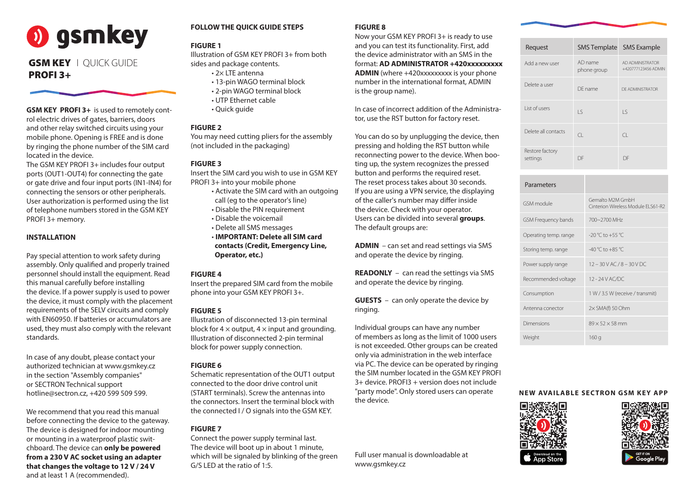| Request                     |                        | SMS Template SMS Example                |
|-----------------------------|------------------------|-----------------------------------------|
| Add a new user              | AD name<br>phone group | AD ADMINISTRATOR<br>+420777123456 ADMIN |
| Delete a user               | DE name                | DE ADMINISTRATOR                        |
| List of users               | $\vert$ S              | Iς                                      |
| Delete all contacts         | CL.                    | $\Box$                                  |
| Restore factory<br>settings | DF                     | DF                                      |

**GSM KEY PROFI 3+** is used to remotely control electric drives of gates, barriers, doors and other relay switched circuits using your mobile phone. Opening is FREE and is done by ringing the phone number of the SIM card located in the device.

The GSM KEY PROFI 3+ includes four output ports (OUT1-OUT4) for connecting the gate or gate drive and four input ports (IN1-IN4) for connecting the sensors or other peripherals. User authorization is performed using the list of telephone numbers stored in the GSM KEY PROFI 3+ memory.

#### **INSTALLATION**

Pay special attention to work safety during assembly. Only qualified and properly trained personnel should install the equipment. Read this manual carefully before installing the device. If a power supply is used to power the device, it must comply with the placement requirements of the SELV circuits and comply with EN60950. If batteries or accumulators are used, they must also comply with the relevant standards.

In case of any doubt, please contact your authorized technician at www.gsmkey.cz in the section "Assembly companies" or SECTRON Technical support hotline@sectron.cz, +420 599 509 599.

We recommend that you read this manual before connecting the device to the gateway. The device is designed for indoor mounting or mounting in a waterproof plastic switchboard. The device can **only be powered from a 230 V AC socket using an adapter that changes the voltage to 12 V / 24 V** and at least 1 A (recommended).

#### **FOLLOW THE QUICK GUIDE STEPS**

#### **FIGURE 1**

Illustration of GSM KEY PROFI 3+ from both sides and package contents.

- 2× LTE antenna
- 13-pin WAGO terminal block
- 2-pin WAGO terminal block
- UTP Ethernet cable
- Quick guide

#### **FIGURE 2**

You may need cutting pliers for the assembly (not included in the packaging)

#### **FIGURE 3**

Insert the SIM card you wish to use in GSM KEY PROFI 3+ into your mobile phone

- Activate the SIM card with an outgoing call (eg to the operator's line)
- Disable the PIN requirement
- Disable the voicemail
- Delete all SMS messages
- **IMPORTANT: Delete all SIM card contacts (Credit, Emergency Line, Operator, etc.)**

#### **FIGURE 4**

Insert the prepared SIM card from the mobile phone into your GSM KEY PROFI 3+.

#### **FIGURE 5**

# **o)** gsmkey

# **GSM KEY** | QUICK GUIDE PROFI 3+

Illustration of disconnected 13-pin terminal block for  $4 \times$  output,  $4 \times$  input and grounding. Illustration of disconnected 2-pin terminal block for power supply connection.

#### **FIGURE 6**

Schematic representation of the OUT1 output connected to the door drive control unit (START terminals). Screw the antennas into the connectors. Insert the terminal block with the connected I / O signals into the GSM KEY.

## **FIGURE 7**

Connect the power supply terminal last. The device will boot up in about 1 minute, which will be signaled by blinking of the green G/S LED at the ratio of 1:5.

### **FIGURE 8**

Now your GSM KEY PROFI 3+ is ready to use and you can test its functionality. First, add the device administrator with an SMS in the format: **AD ADMINISTRATOR +420xxxxxxxxx ADMIN** (where +420xxxxxxxxx is your phone number in the international format, ADMIN is the group name).

In case of incorrect addition of the Administrator, use the RST button for factory reset.

You can do so by unplugging the device, then pressing and holding the RST button while reconnecting power to the device. When booting up, the system recognizes the pressed button and performs the required reset. The reset process takes about 30 seconds. If you are using a VPN service, the displaying of the caller's number may differ inside the device. Check with your operator. Users can be divided into several **groups**. The default groups are:

**ADMIN** – can set and read settings via SMS and operate the device by ringing.

**READONLY** – can read the settings via SMS and operate the device by ringing.

**GUESTS** – can only operate the device by ringing.

Individual groups can have any number of members as long as the limit of 1000 users is not exceeded. Other groups can be created only via administration in the web interface via PC. The device can be operated by ringing the SIM number located in the GSM KEY PROFI 3+ device. PROFI3 + version does not include "party mode". Only stored users can operate the device.

Full user manual is downloadable at www.gsmkey.cz

**NEW AVAILABLE SECTRON GSM KEY APP**





| Parameters                 |                                                        |
|----------------------------|--------------------------------------------------------|
| GSM module                 | Gemalto M2M GmbH<br>Cinterion Wireless Module ELS61-R2 |
| <b>GSM Frequency bands</b> | 700~2700 MHz                                           |
| Operating temp. range      | $-20$ °C to $+55$ °C                                   |
| Storing temp. range        | $-40\degree$ C to $+85\degree$ C                       |
| Power supply range         | $12 - 30$ V AC / 8 - 30 V DC                           |
| Recommended voltage        | 12 - 24 V AC/DC                                        |
| Consumption                | 1 W / 3.5 W (receive / transmit)                       |
| Antenna conector           | $2\times$ SMA(f) 50 Ohm                                |
| Dimensions                 | $89 \times 52 \times 58$ mm                            |
| Weight                     | 160q                                                   |